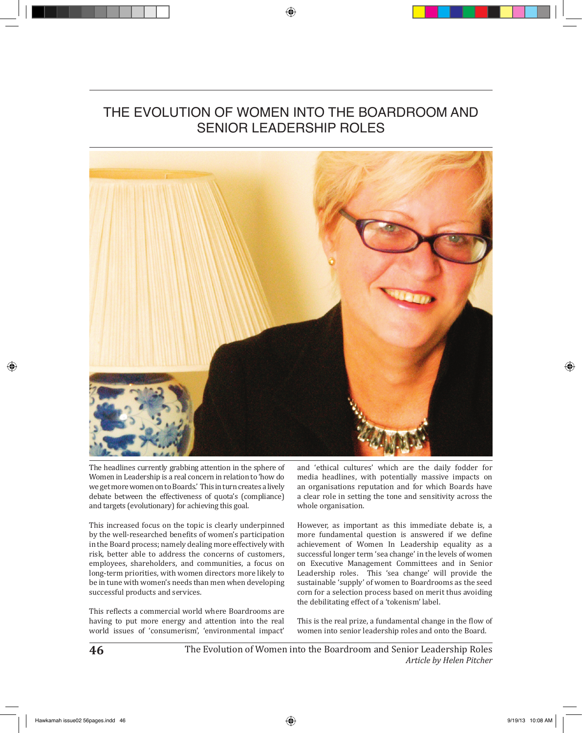# THE EVOLUTION OF WOMEN INTO THE BOARDROOM AND SENIOR LEADERSHIP ROLES



The headlines currently grabbing attention in the sphere of Women in Leadership is a real concern in relation to 'how do we get more women on to Boards.' This in turn creates a lively debate between the effectiveness of quota's (compliance) and targets (evolutionary) for achieving this goal.

This increased focus on the topic is clearly underpinned by the well-researched benefits of women's participation in the Board process; namely dealing more effectively with risk, better able to address the concerns of customers, employees, shareholders, and communities, a focus on long-term priorities, with women directors more likely to be in tune with women's needs than men when developing successful products and services.

This reflects a commercial world where Boardrooms are having to put more energy and attention into the real world issues of 'consumerism', 'environmental impact'

and 'ethical cultures' which are the daily fodder for media headlines, with potentially massive impacts on an organisations reputation and for which Boards have a clear role in setting the tone and sensitivity across the whole organisation.

However, as important as this immediate debate is, a more fundamental question is answered if we define achievement of Women In Leadership equality as a successful longer term 'sea change' in the levels of women on Executive Management Committees and in Senior Leadership roles. This 'sea change' will provide the sustainable 'supply' of women to Boardrooms as the seed corn for a selection process based on merit thus avoiding the debilitating effect of a 'tokenism' label.

This is the real prize, a fundamental change in the flow of women into senior leadership roles and onto the Board.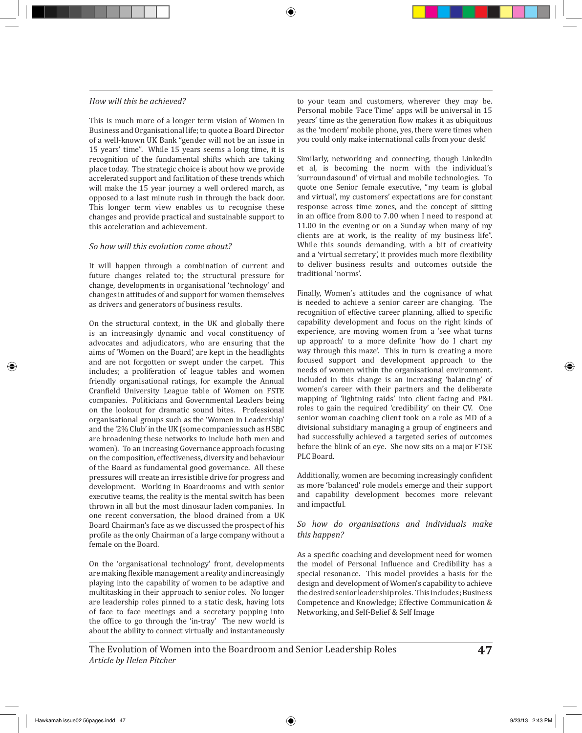#### *How will this be achieved?*

This is much more of a longer term vision of Women in Business and Organisational life; to quote a Board Director of a well-known UK Bank "gender will not be an issue in 15 years' time". While 15 years seems a long time, it is recognition of the fundamental shifts which are taking place today. The strategic choice is about how we provide accelerated support and facilitation of these trends which will make the 15 year journey a well ordered march, as opposed to a last minute rush in through the back door. This longer term view enables us to recognise these changes and provide practical and sustainable support to this acceleration and achievement.

## *So how will this evolution come about?*

It will happen through a combination of current and future changes related to; the structural pressure for change, developments in organisational 'technology' and changes in attitudes of and support for women themselves as drivers and generators of business results.

On the structural context, in the UK and globally there is an increasingly dynamic and vocal constituency of advocates and adjudicators, who are ensuring that the aims of 'Women on the Board', are kept in the headlights and are not forgotten or swept under the carpet. This includes; a proliferation of league tables and women friendly organisational ratings, for example the Annual Cranfield University League table of Women on FSTE companies. Politicians and Governmental Leaders being on the lookout for dramatic sound bites. Professional organisational groups such as the 'Women in Leadership' and the '2% Club' in the UK (some companies such as HSBC are broadening these networks to include both men and women). To an increasing Governance approach focusing on the composition, effectiveness, diversity and behaviour of the Board as fundamental good governance. All these pressures will create an irresistible drive for progress and development. Working in Boardrooms and with senior executive teams, the reality is the mental switch has been thrown in all but the most dinosaur laden companies. In one recent conversation, the blood drained from a UK Board Chairman's face as we discussed the prospect of his profile as the only Chairman of a large company without a female on the Board.

On the 'organisational technology' front, developments are making flexible management a reality and increasingly playing into the capability of women to be adaptive and multitasking in their approach to senior roles. No longer are leadership roles pinned to a static desk, having lots of face to face meetings and a secretary popping into the office to go through the 'in-tray' The new world is about the ability to connect virtually and instantaneously

to your team and customers, wherever they may be. Personal mobile 'Face Time' apps will be universal in 15 years' time as the generation flow makes it as ubiquitous as the 'modern' mobile phone, yes, there were times when you could only make international calls from your desk!

Similarly, networking and connecting, though LinkedIn et al, is becoming the norm with the individual's 'surroundasound' of virtual and mobile technologies. To quote one Senior female executive, "my team is global and virtual', my customers' expectations are for constant response across time zones, and the concept of sitting in an office from 8.00 to 7.00 when I need to respond at 11.00 in the evening or on a Sunday when many of my clients are at work, is the reality of my business life". While this sounds demanding, with a bit of creativity and a 'virtual secretary', it provides much more flexibility to deliver business results and outcomes outside the traditional 'norms'.

Finally, Women's attitudes and the cognisance of what is needed to achieve a senior career are changing. The recognition of effective career planning, allied to specific capability development and focus on the right kinds of experience, are moving women from a 'see what turns up approach' to a more definite 'how do I chart my way through this maze'. This in turn is creating a more focused support and development approach to the needs of women within the organisational environment. Included in this change is an increasing 'balancing' of women's career with their partners and the deliberate mapping of 'lightning raids' into client facing and P&L roles to gain the required 'credibility' on their CV. One senior woman coaching client took on a role as MD of a divisional subsidiary managing a group of engineers and had successfully achieved a targeted series of outcomes before the blink of an eye. She now sits on a major FTSE PLC Board.

Additionally, women are becoming increasingly confident as more 'balanced' role models emerge and their support and capability development becomes more relevant and impactful.

#### *So how do organisations and individuals make this happen?*

As a specific coaching and development need for women the model of Personal Influence and Credibility has a special resonance. This model provides a basis for the design and development of Women's capability to achieve the desired senior leadership roles. This includes; Business Competence and Knowledge; Effective Communication & Networking, and Self-Belief & Self Image